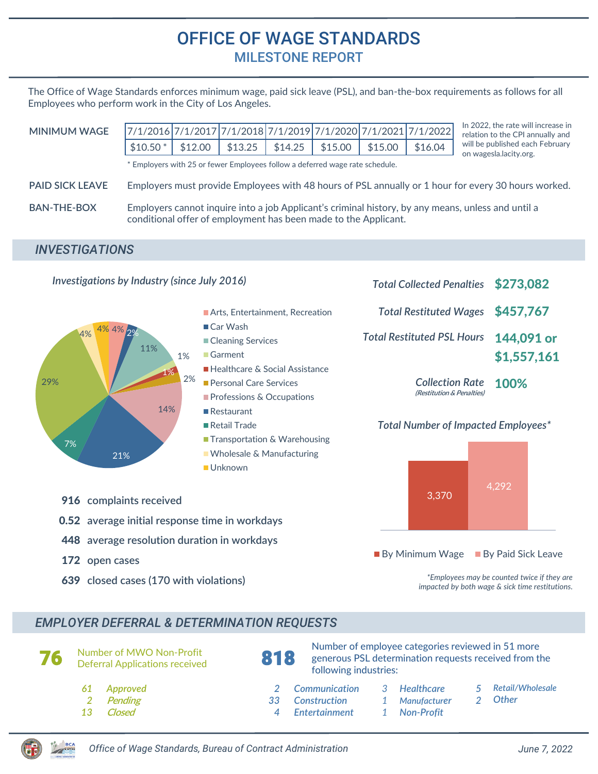## OFFICE OF WAGE STANDARDS MILESTONE REPORT

The Office of Wage Standards enforces minimum wage, paid sick leave (PSL), and ban-the-box requirements as follows for all Employees who perform work in the City of Los Angeles.

| <b>MINIMUM WAGE</b>    |                                                                                                                                                                       |         |         |         |         |         | 7/1/2016 7/1/2017 7/1/2018 7/1/2019 7/1/2020 7/1/2021 7/1/2022 | In 2022, the rate will increase in<br>relation to the CPI annually and |
|------------------------|-----------------------------------------------------------------------------------------------------------------------------------------------------------------------|---------|---------|---------|---------|---------|----------------------------------------------------------------|------------------------------------------------------------------------|
|                        | $$10.50*$                                                                                                                                                             | \$12.00 | \$13.25 | \$14.25 | \$15.00 | \$15.00 | \$16.04                                                        | will be published each February<br>on wagesla.lacity.org.              |
|                        | * Employers with 25 or fewer Employees follow a deferred wage rate schedule.                                                                                          |         |         |         |         |         |                                                                |                                                                        |
| <b>PAID SICK LEAVE</b> | Employers must provide Employees with 48 hours of PSL annually or 1 hour for every 30 hours worked.                                                                   |         |         |         |         |         |                                                                |                                                                        |
| BAN-THE-BOX            | Employers cannot inquire into a job Applicant's criminal history, by any means, unless and until a<br>conditional offer of employment has been made to the Applicant. |         |         |         |         |         |                                                                |                                                                        |

## *INVESTIGATIONS*



## *EMPLOYER DEFERRAL & DETERMINATION REQUESTS*

**76** Number of MWO Non-Profit<br>Deferral Applications received **818** Number of employee categories reviewed in 51 more generous PSL determination requests received from the following industries: *61 Approved 2 Communication 3*

- **Pending**
- *13* **Closed**

*2*

- 
- 
- *33*
	- *Construction*
- *4 Entertainment*
- *Healthcare*
- *Manufacturer*
- *1 Non-Profit*

*1*

- *5 Retail/Wholesale*
- *2 Other*
- *Office of Wage Standards, Bureau of Contract Administration June 7, 2022*